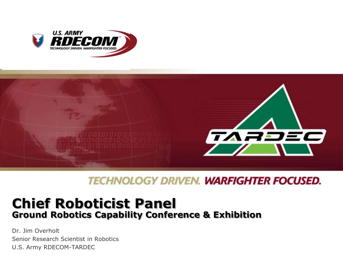



**TECHNOLOGY DRIVEN. WARFIGHTER FOCUSED.** 

## **Chief Roboticist Panel Ground Robotics Capability Conference & Exhibition**

Dr. Jim Overholt Senior Research Scientist in Robotics U.S. Army RDECOM-TARDEC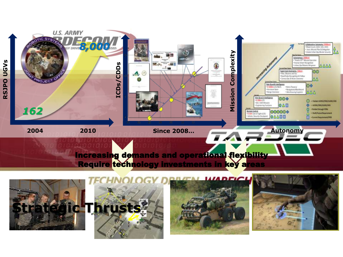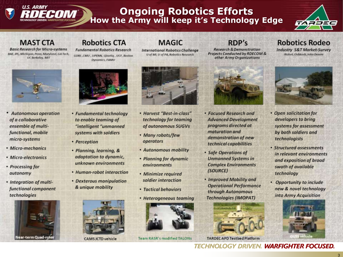# **U.S. ARMY**

## **Ongoing Robotics Efforts**<br>How the Army will keep it's Technology Edge



#### **MAST CTA**

**Basic Research for Micro-systems** BAE, JPL, Michigan, Penn, Maryland, GA Tech. **UC Berkeley, MIT** 

#### **Robotics CTA**

**Fundamental Robotics Research** GDRS, CMU, UPENN, Qinetiq, UCF, Boston **Dynamics, FAMU** 

#### **MAGIC**

**International Robotics Challenge** U of MI, U of PA, Robotics Research



- **Autonomous operation** of a collaborative ensemble of multifunctional, mobile micro-systems
- Micro-mechanics
- Micro-electronics
- Processing for autonomy
- Integration of multifunctional component technologies





- Fundamental technology to enable teaming of "intelligent "unmanned systems with soldiers
- Perception
- · Planning, learning, & adaptation to dynamic, unknown environments
- Human-robot interaction
- Dexterous manipulation & unique mobility



**CAMS JCTD vehicle** 



- Harvest "Best-in-class" technology for teaming of autonomous SUGVs
- Many robots/few operators
- Autonomous mobility
- Planning for dynamic environments
- Minimize required soldier interaction
- Tactical behaviors
- Heterogeneous teaming



Team RASR's modified TALONs

#### RDP's

**Research & Demonstration** Projects Conducted by RDECOM & other Army Organizations

• Focused Research and

programs directed at

demonstration of new

technical capabilities

**Unmanned Systems in** 

**Complex Environments** 

• Improved Mobility and

through Autonomous

**Technologies (IMOPAT)** 

**Operational Performance** 

· Safe Operations of

(SOURCE)

maturation and

**Advanced Development** 

#### **Robotics Rodeo**

**Industry S&T Market-Survey** iRobot, Oshkosh, John Deeere



- Open solicitation for developers to bring systems for assessment by both soldiers and technologists
- Structured assessments in relevant environments and exposition of broad swath of available technology
- Opportunity to include new & novel technology into Army Acquisition



**TARDEC APD Testbed Platform**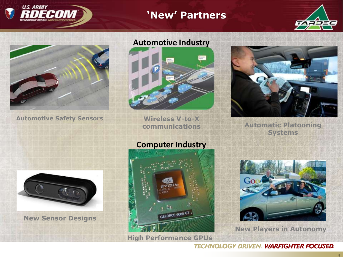

#### **'New' Partners**





**Automotive Safety Sensors**





**Wireless V-to-X communications**



**Automatic Platooning Systems**



**New Sensor Designs**





**New Players in Autonomy**

**TECHNOLOGY DRIVEN. WARFIGHTER FOCUSED.** 

## **Computer Industry**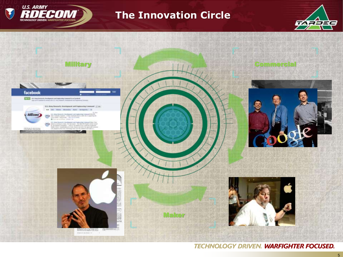

#### **The Innovation Circle**





**TECHNOLOGY DRIVEN. WARFIGHTER FOCUSED.**